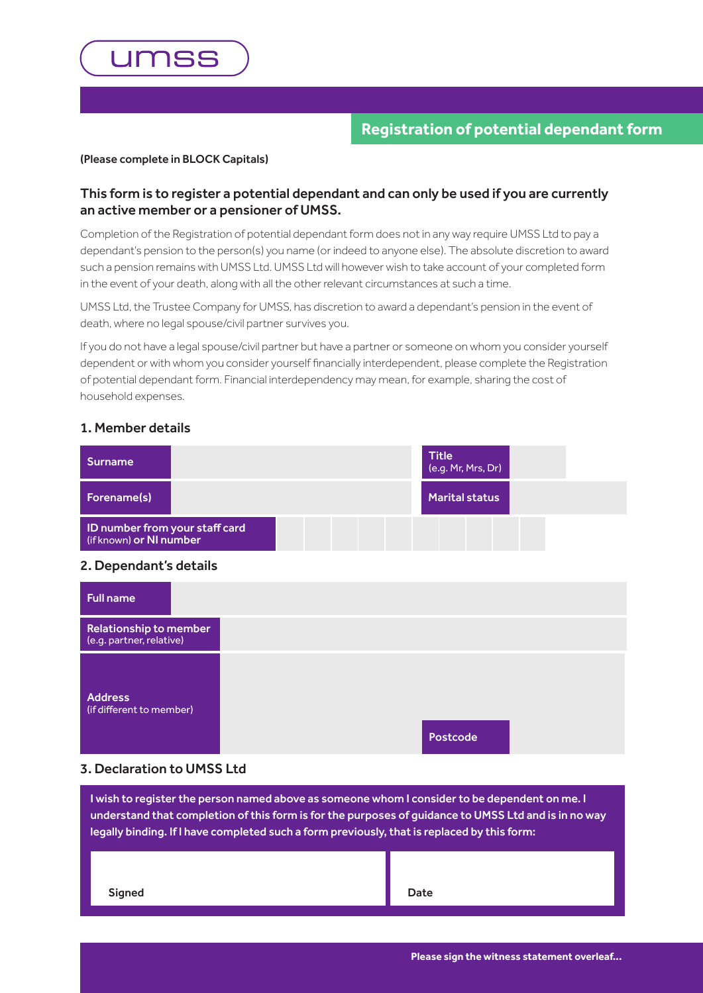

## **Registration of potential dependant form**

#### (Please complete in BLOCK Capitals)

## This form is to register a potential dependant and can only be used if you are currently an active member or a pensioner of UMSS.

Completion of the Registration of potential dependant form does not in any way require UMSS Ltd to pay a dependant's pension to the person(s) you name (or indeed to anyone else). The absolute discretion to award such a pension remains with UMSS Ltd. UMSS Ltd will however wish to take account of your completed form in the event of your death, along with all the other relevant circumstances at such a time.

UMSS Ltd, the Trustee Company for UMSS, has discretion to award a dependant's pension in the event of death, where no legal spouse/civil partner survives you.

If you do not have a legal spouse/civil partner but have a partner or someone on whom you consider yourself dependent or with whom you consider yourself financially interdependent, please complete the Registration of potential dependant form. Financial interdependency may mean, for example, sharing the cost of household expenses.

#### 1. Member details

| Surname                                                   | <b>Title</b><br>(e.g. Mr, Mrs, Dr) |  |
|-----------------------------------------------------------|------------------------------------|--|
| Forename(s)                                               | <b>Marital status</b>              |  |
| ID number from your staff card<br>(if known) or NI number |                                    |  |

#### 2. Dependant's details

| <b>Full name</b>                                   |          |  |
|----------------------------------------------------|----------|--|
| Relationship to member<br>(e.g. partner, relative) |          |  |
| <b>Address</b><br>(if different to member)         | Postcode |  |

## 3. Declaration to UMSS Ltd

I wish to register the person named above as someone whom I consider to be dependent on me. I understand that completion of this form is for the purposes of guidance to UMSS Ltd and is in no way legally binding. If I have completed such a form previously, that is replaced by this form:

| Signed | Date |
|--------|------|
|        |      |